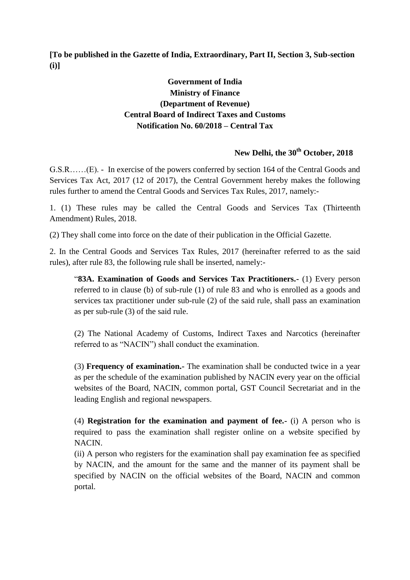**[To be published in the Gazette of India, Extraordinary, Part II, Section 3, Sub-section (i)]**

## **Government of India Ministry of Finance (Department of Revenue) Central Board of Indirect Taxes and Customs Notification No. 60/2018 – Central Tax**

# **New Delhi, the 30th October, 2018**

G.S.R……(E). - In exercise of the powers conferred by section 164 of the Central Goods and Services Tax Act, 2017 (12 of 2017), the Central Government hereby makes the following rules further to amend the Central Goods and Services Tax Rules, 2017, namely:-

1. (1) These rules may be called the Central Goods and Services Tax (Thirteenth Amendment) Rules, 2018.

(2) They shall come into force on the date of their publication in the Official Gazette.

2. In the Central Goods and Services Tax Rules, 2017 (hereinafter referred to as the said rules), after rule 83, the following rule shall be inserted, namely:-

"**83A. Examination of Goods and Services Tax Practitioners.-** (1) Every person referred to in clause (b) of sub-rule (1) of rule 83 and who is enrolled as a goods and services tax practitioner under sub-rule (2) of the said rule, shall pass an examination as per sub-rule (3) of the said rule.

(2) The National Academy of Customs, Indirect Taxes and Narcotics (hereinafter referred to as "NACIN") shall conduct the examination.

(3) **Frequency of examination.-** The examination shall be conducted twice in a year as per the schedule of the examination published by NACIN every year on the official websites of the Board, NACIN, common portal, GST Council Secretariat and in the leading English and regional newspapers.

(4) **Registration for the examination and payment of fee.-** (i) A person who is required to pass the examination shall register online on a website specified by NACIN.

(ii) A person who registers for the examination shall pay examination fee as specified by NACIN, and the amount for the same and the manner of its payment shall be specified by NACIN on the official websites of the Board, NACIN and common portal.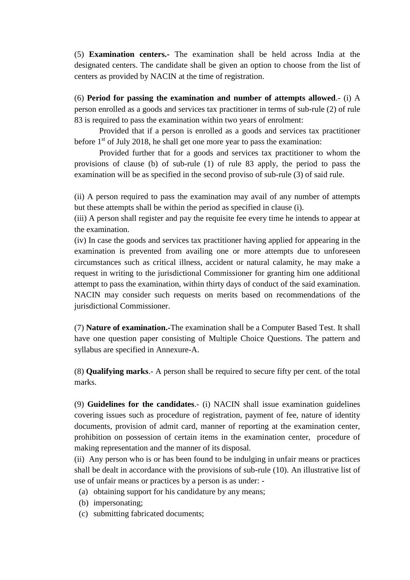(5) **Examination centers.-** The examination shall be held across India at the designated centers. The candidate shall be given an option to choose from the list of centers as provided by NACIN at the time of registration.

(6) **Period for passing the examination and number of attempts allowed**.- (i) A person enrolled as a goods and services tax practitioner in terms of sub-rule (2) of rule 83 is required to pass the examination within two years of enrolment:

Provided that if a person is enrolled as a goods and services tax practitioner before  $1<sup>st</sup>$  of July 2018, he shall get one more year to pass the examination:

Provided further that for a goods and services tax practitioner to whom the provisions of clause (b) of sub-rule (1) of rule 83 apply, the period to pass the examination will be as specified in the second proviso of sub-rule (3) of said rule.

(ii) A person required to pass the examination may avail of any number of attempts but these attempts shall be within the period as specified in clause (i).

(iii) A person shall register and pay the requisite fee every time he intends to appear at the examination.

(iv) In case the goods and services tax practitioner having applied for appearing in the examination is prevented from availing one or more attempts due to unforeseen circumstances such as critical illness, accident or natural calamity, he may make a request in writing to the jurisdictional Commissioner for granting him one additional attempt to pass the examination, within thirty days of conduct of the said examination. NACIN may consider such requests on merits based on recommendations of the jurisdictional Commissioner.

(7) **Nature of examination.-**The examination shall be a Computer Based Test. It shall have one question paper consisting of Multiple Choice Questions. The pattern and syllabus are specified in Annexure-A.

(8) **Qualifying marks**.- A person shall be required to secure fifty per cent. of the total marks.

(9) **Guidelines for the candidates**.- (i) NACIN shall issue examination guidelines covering issues such as procedure of registration, payment of fee, nature of identity documents, provision of admit card, manner of reporting at the examination center, prohibition on possession of certain items in the examination center, procedure of making representation and the manner of its disposal.

(ii)Any person who is or has been found to be indulging in unfair means or practices shall be dealt in accordance with the provisions of sub-rule (10). An illustrative list of use of unfair means or practices by a person is as under: -

- (a) obtaining support for his candidature by any means;
- (b) impersonating;
- (c) submitting fabricated documents;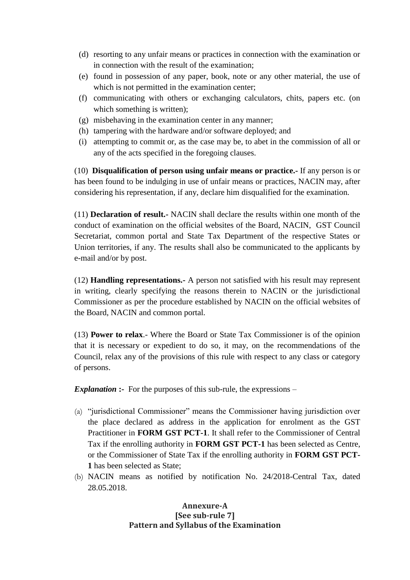- (d) resorting to any unfair means or practices in connection with the examination or in connection with the result of the examination;
- (e) found in possession of any paper, book, note or any other material, the use of which is not permitted in the examination center;
- (f) communicating with others or exchanging calculators, chits, papers etc. (on which something is written);
- (g) misbehaving in the examination center in any manner;
- (h) tampering with the hardware and/or software deployed; and
- (i) attempting to commit or, as the case may be, to abet in the commission of all or any of the acts specified in the foregoing clauses.

(10) **Disqualification of person using unfair means or practice.-** If any person is or has been found to be indulging in use of unfair means or practices, NACIN may, after considering his representation, if any, declare him disqualified for the examination.

(11) **Declaration of result.-** NACIN shall declare the results within one month of the conduct of examination on the official websites of the Board, NACIN, GST Council Secretariat, common portal and State Tax Department of the respective States or Union territories, if any. The results shall also be communicated to the applicants by e-mail and/or by post.

(12) **Handling representations.-** A person not satisfied with his result may represent in writing, clearly specifying the reasons therein to NACIN or the jurisdictional Commissioner as per the procedure established by NACIN on the official websites of the Board, NACIN and common portal.

(13) **Power to relax**.- Where the Board or State Tax Commissioner is of the opinion that it is necessary or expedient to do so, it may, on the recommendations of the Council, relax any of the provisions of this rule with respect to any class or category of persons.

**Explanation :-** For the purposes of this sub-rule, the expressions –

- (a) "jurisdictional Commissioner" means the Commissioner having jurisdiction over the place declared as address in the application for enrolment as the GST Practitioner in **FORM GST PCT-1**. It shall refer to the Commissioner of Central Tax if the enrolling authority in **FORM GST PCT-1** has been selected as Centre, or the Commissioner of State Tax if the enrolling authority in **FORM GST PCT-1** has been selected as State;
- (b) NACIN means as notified by notification No. 24/2018-Central Tax, dated 28.05.2018.

#### **Annexure-A [See sub-rule 7] Pattern and Syllabus of the Examination**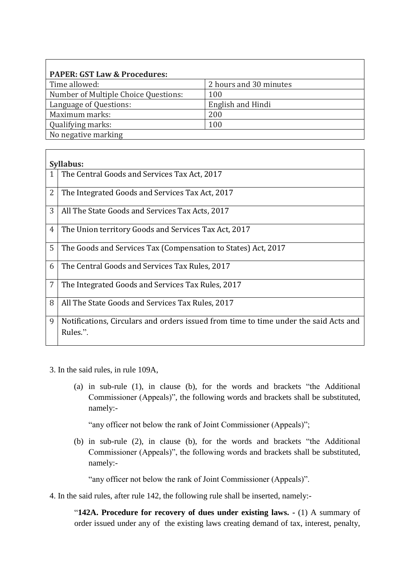| <b>PAPER: GST Law &amp; Procedures:</b> |                        |
|-----------------------------------------|------------------------|
| Time allowed:                           | 2 hours and 30 minutes |
| Number of Multiple Choice Questions:    | 100                    |
| Language of Questions:                  | English and Hindi      |
| Maximum marks:                          | 200                    |
| Qualifying marks:                       | 100                    |
| No negative marking                     |                        |

|   | Syllabus:                                                                                        |
|---|--------------------------------------------------------------------------------------------------|
|   | The Central Goods and Services Tax Act, 2017                                                     |
| 2 | The Integrated Goods and Services Tax Act, 2017                                                  |
| 3 | All The State Goods and Services Tax Acts, 2017                                                  |
| 4 | The Union territory Goods and Services Tax Act, 2017                                             |
| 5 | The Goods and Services Tax (Compensation to States) Act, 2017                                    |
| 6 | The Central Goods and Services Tax Rules, 2017                                                   |
| 7 | The Integrated Goods and Services Tax Rules, 2017                                                |
| 8 | All The State Goods and Services Tax Rules, 2017                                                 |
| 9 | Notifications, Circulars and orders issued from time to time under the said Acts and<br>Rules.". |

- 3. In the said rules, in rule 109A,
	- (a) in sub-rule (1), in clause (b), for the words and brackets "the Additional Commissioner (Appeals)", the following words and brackets shall be substituted, namely:-

"any officer not below the rank of Joint Commissioner (Appeals)";

(b) in sub-rule (2), in clause (b), for the words and brackets "the Additional Commissioner (Appeals)", the following words and brackets shall be substituted, namely:-

"any officer not below the rank of Joint Commissioner (Appeals)".

4. In the said rules, after rule 142, the following rule shall be inserted, namely:-

"**142A. Procedure for recovery of dues under existing laws. -** (1) A summary of order issued under any of the existing laws creating demand of tax, interest, penalty,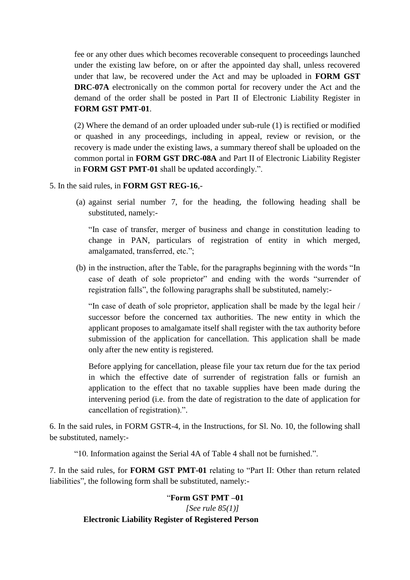fee or any other dues which becomes recoverable consequent to proceedings launched under the existing law before, on or after the appointed day shall, unless recovered under that law, be recovered under the Act and may be uploaded in **FORM GST DRC-07A** electronically on the common portal for recovery under the Act and the demand of the order shall be posted in Part II of Electronic Liability Register in **FORM GST PMT-01**.

(2) Where the demand of an order uploaded under sub-rule (1) is rectified or modified or quashed in any proceedings, including in appeal, review or revision, or the recovery is made under the existing laws, a summary thereof shall be uploaded on the common portal in **FORM GST DRC-08A** and Part II of Electronic Liability Register in **FORM GST PMT-01** shall be updated accordingly.".

5. In the said rules, in **FORM GST REG-16**,-

(a) against serial number 7, for the heading, the following heading shall be substituted, namely:-

"In case of transfer, merger of business and change in constitution leading to change in PAN, particulars of registration of entity in which merged, amalgamated, transferred, etc.";

(b) in the instruction, after the Table, for the paragraphs beginning with the words "In case of death of sole proprietor" and ending with the words "surrender of registration falls", the following paragraphs shall be substituted, namely:-

"In case of death of sole proprietor, application shall be made by the legal heir / successor before the concerned tax authorities. The new entity in which the applicant proposes to amalgamate itself shall register with the tax authority before submission of the application for cancellation. This application shall be made only after the new entity is registered.

Before applying for cancellation, please file your tax return due for the tax period in which the effective date of surrender of registration falls or furnish an application to the effect that no taxable supplies have been made during the intervening period (i.e. from the date of registration to the date of application for cancellation of registration).".

6. In the said rules, in FORM GSTR-4, in the Instructions, for Sl. No. 10, the following shall be substituted, namely:-

"10. Information against the Serial 4A of Table 4 shall not be furnished.".

7. In the said rules, for **FORM GST PMT-01** relating to "Part II: Other than return related liabilities", the following form shall be substituted, namely:-

## "**Form GST PMT –01**   *[See rule 85(1)]* **Electronic Liability Register of Registered Person**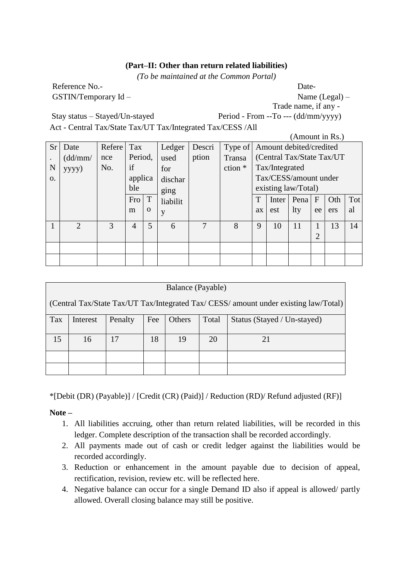#### **(Part–II: Other than return related liabilities)**

*(To be maintained at the Common Portal)* 

Reference No.-<br>
Date-GSTIN/Temporary Id – Name (Legal) –

Trade name, if any -

Stay status – Stayed/Un-stayed Period - From --To --- (dd/mm/yyyy) Act - Central Tax/State Tax/UT Tax/Integrated Tax/CESS /All

|           |               |        |         |          |          |        |                                 |    |                | (Amount in Rs.)            |                |     |     |
|-----------|---------------|--------|---------|----------|----------|--------|---------------------------------|----|----------------|----------------------------|----------------|-----|-----|
| <b>Sr</b> | Date          | Refere | Tax     |          | Ledger   | Descri | Type of Amount debited/credited |    |                |                            |                |     |     |
|           | (dd/mm/       | nce    | Period, |          | used     | ption  | Transa                          |    |                | (Central Tax/State Tax/UT) |                |     |     |
| N         | yyyy)         | No.    | if      |          | for      |        | ction *                         |    | Tax/Integrated |                            |                |     |     |
| Ω.        |               |        | applica |          | dischar  |        |                                 |    |                | Tax/CESS/amount under      |                |     |     |
|           |               |        | ble     |          | ging     |        |                                 |    |                | existing law/Total)        |                |     |     |
|           |               |        | Fro     | T        | liabilit |        |                                 | T  | Inter          | Pena                       | $\mathbf{F}$   | Oth | Tot |
|           |               |        | m       | $\Omega$ | y        |        |                                 | ax | est            | lty                        | ee             | ers | al  |
|           | $\mathcal{D}$ | 3      | 4       | 5        | 6        | 7      | 8                               | 9  | 10             | 11                         |                | 13  | 14  |
|           |               |        |         |          |          |        |                                 |    |                |                            | $\overline{2}$ |     |     |
|           |               |        |         |          |          |        |                                 |    |                |                            |                |     |     |
|           |               |        |         |          |          |        |                                 |    |                |                            |                |     |     |

|                                                                                      | Balance (Payable) |         |     |        |       |                             |  |  |
|--------------------------------------------------------------------------------------|-------------------|---------|-----|--------|-------|-----------------------------|--|--|
| (Central Tax/State Tax/UT Tax/Integrated Tax/ CESS/ amount under existing law/Total) |                   |         |     |        |       |                             |  |  |
| Tax                                                                                  | Interest          | Penalty | Fee | Others | Total | Status (Stayed / Un-stayed) |  |  |
| 15                                                                                   | 16                | 17      | 18  | 19     | 20    | 21                          |  |  |
|                                                                                      |                   |         |     |        |       |                             |  |  |
|                                                                                      |                   |         |     |        |       |                             |  |  |

\*[Debit (DR) (Payable)] / [Credit (CR) (Paid)] / Reduction (RD)/ Refund adjusted (RF)]

**Note –**

- 1. All liabilities accruing, other than return related liabilities, will be recorded in this ledger. Complete description of the transaction shall be recorded accordingly.
- 2. All payments made out of cash or credit ledger against the liabilities would be recorded accordingly.
- 3. Reduction or enhancement in the amount payable due to decision of appeal, rectification, revision, review etc. will be reflected here.
- 4. Negative balance can occur for a single Demand ID also if appeal is allowed/ partly allowed. Overall closing balance may still be positive.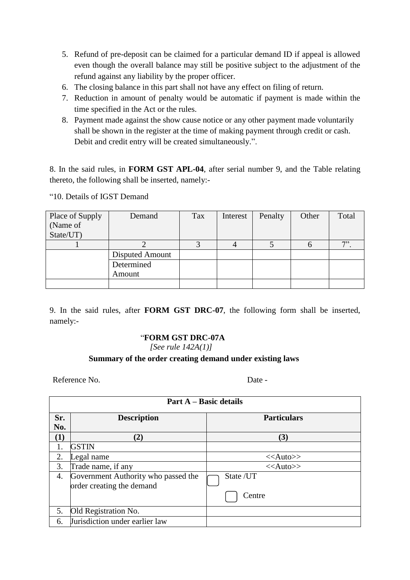- 5. Refund of pre-deposit can be claimed for a particular demand ID if appeal is allowed even though the overall balance may still be positive subject to the adjustment of the refund against any liability by the proper officer.
- 6. The closing balance in this part shall not have any effect on filing of return.
- 7. Reduction in amount of penalty would be automatic if payment is made within the time specified in the Act or the rules.
- 8. Payment made against the show cause notice or any other payment made voluntarily shall be shown in the register at the time of making payment through credit or cash. Debit and credit entry will be created simultaneously.".

8. In the said rules, in **FORM GST APL-04**, after serial number 9, and the Table relating thereto, the following shall be inserted, namely:-

| Place of Supply | Demand          | Tax | Interest | Penalty | Other | Total |
|-----------------|-----------------|-----|----------|---------|-------|-------|
| (Name of        |                 |     |          |         |       |       |
| State/UT)       |                 |     |          |         |       |       |
|                 |                 |     |          |         |       | 7     |
|                 | Disputed Amount |     |          |         |       |       |
|                 | Determined      |     |          |         |       |       |
|                 | Amount          |     |          |         |       |       |
|                 |                 |     |          |         |       |       |

"10. Details of IGST Demand

9. In the said rules, after **FORM GST DRC-07**, the following form shall be inserted, namely:-

# "**FORM GST DRC-07A**

*[See rule 142A(1)]* 

## **Summary of the order creating demand under existing laws**

Reference No. Date -

|                  | <b>Part A – Basic details</b>                                    |                    |  |  |  |  |  |
|------------------|------------------------------------------------------------------|--------------------|--|--|--|--|--|
| Sr.              | <b>Description</b>                                               | <b>Particulars</b> |  |  |  |  |  |
| No.              |                                                                  |                    |  |  |  |  |  |
| $\left(1\right)$ | $\left( 2\right)$                                                | (3)                |  |  |  |  |  |
|                  | <b>GSTIN</b>                                                     |                    |  |  |  |  |  |
| 2.               | Legal name                                                       | $<<$ Auto>>        |  |  |  |  |  |
| 3.               | Trade name, if any                                               | $<<$ Auto>>        |  |  |  |  |  |
| 4.               | Government Authority who passed the<br>order creating the demand | State /UT          |  |  |  |  |  |
|                  |                                                                  | Centre             |  |  |  |  |  |
| 5.               | Old Registration No.                                             |                    |  |  |  |  |  |
| 6.               | Jurisdiction under earlier law                                   |                    |  |  |  |  |  |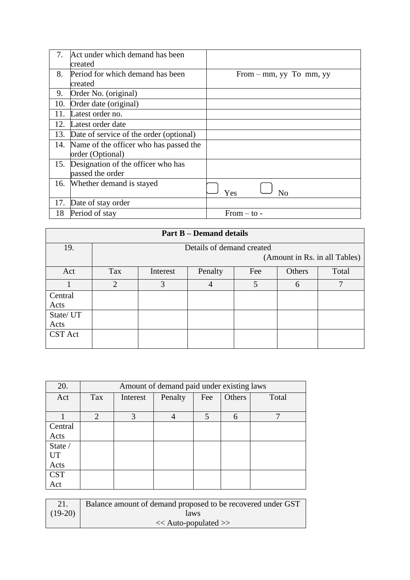| 7.  | Act under which demand has been         |                           |
|-----|-----------------------------------------|---------------------------|
|     | created                                 |                           |
| 8.  | Period for which demand has been        | From $-$ mm, yy To mm, yy |
|     | created                                 |                           |
| 9.  | Order No. (original)                    |                           |
| 10. | Order date (original)                   |                           |
| 11. | Latest order no.                        |                           |
| 12. | Latest order date                       |                           |
| 13. | Date of service of the order (optional) |                           |
| 14. | Name of the officer who has passed the  |                           |
|     | order (Optional)                        |                           |
| 15. | Designation of the officer who has      |                           |
|     | passed the order                        |                           |
| 16. | Whether demand is stayed                |                           |
|     |                                         | Yes<br>No                 |
| 17. | Date of stay order                      |                           |
| 18  | Period of stay                          | From $-$ to $-$           |

| <b>Part B – Demand details</b> |                |                               |                           |     |        |       |  |
|--------------------------------|----------------|-------------------------------|---------------------------|-----|--------|-------|--|
| 19.                            |                |                               | Details of demand created |     |        |       |  |
|                                |                | (Amount in Rs. in all Tables) |                           |     |        |       |  |
| Act                            | Tax            | Interest                      | Penalty                   | Fee | Others | Total |  |
|                                | $\overline{2}$ | 3                             | 4                         | 5   | 6      | 7     |  |
| Central                        |                |                               |                           |     |        |       |  |
| Acts                           |                |                               |                           |     |        |       |  |
| State/ UT                      |                |                               |                           |     |        |       |  |
| Acts                           |                |                               |                           |     |        |       |  |
| CST Act                        |                |                               |                           |     |        |       |  |

| 20.        |     | Amount of demand paid under existing laws |         |     |        |              |  |
|------------|-----|-------------------------------------------|---------|-----|--------|--------------|--|
| Act        | Tax | Interest                                  | Penalty | Fee | Others | Total        |  |
|            |     |                                           |         |     |        |              |  |
|            | 2   | 3                                         | 4       | 5   | 6      | $\mathbf{r}$ |  |
| Central    |     |                                           |         |     |        |              |  |
| Acts       |     |                                           |         |     |        |              |  |
| State /    |     |                                           |         |     |        |              |  |
| UT         |     |                                           |         |     |        |              |  |
| Acts       |     |                                           |         |     |        |              |  |
| <b>CST</b> |     |                                           |         |     |        |              |  |
| Act        |     |                                           |         |     |        |              |  |

|           | Balance amount of demand proposed to be recovered under GST |
|-----------|-------------------------------------------------------------|
| $(19-20)$ | laws                                                        |
|           | $<<$ Auto-populated $>>$                                    |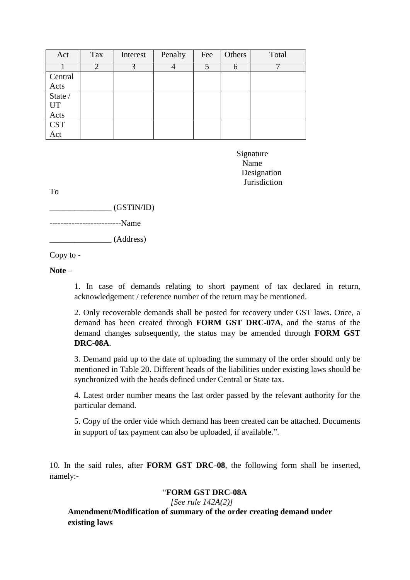| Act        | Tax            | Interest | Penalty | Fee | Others | Total |
|------------|----------------|----------|---------|-----|--------|-------|
|            | $\overline{2}$ | 3        |         | 5   | 6      |       |
| Central    |                |          |         |     |        |       |
| Acts       |                |          |         |     |        |       |
| State /    |                |          |         |     |        |       |
| UT         |                |          |         |     |        |       |
| Acts       |                |          |         |     |        |       |
| <b>CST</b> |                |          |         |     |        |       |
| Act        |                |          |         |     |        |       |

Signature Name Name Designation **Jurisdiction** 

To

 $(GSTIN/ID)$ 

--------------------------Name

\_\_\_\_\_\_\_\_\_\_\_\_\_\_\_ (Address)

Copy to -

**Note** –

1. In case of demands relating to short payment of tax declared in return, acknowledgement / reference number of the return may be mentioned.

2. Only recoverable demands shall be posted for recovery under GST laws. Once, a demand has been created through **FORM GST DRC-07A**, and the status of the demand changes subsequently, the status may be amended through **FORM GST DRC-08A**.

3. Demand paid up to the date of uploading the summary of the order should only be mentioned in Table 20. Different heads of the liabilities under existing laws should be synchronized with the heads defined under Central or State tax.

4. Latest order number means the last order passed by the relevant authority for the particular demand.

5. Copy of the order vide which demand has been created can be attached. Documents in support of tax payment can also be uploaded, if available.".

10. In the said rules, after **FORM GST DRC-08**, the following form shall be inserted, namely:-

## "**FORM GST DRC-08A**

 *[See rule 142A(2)]*

**Amendment/Modification of summary of the order creating demand under existing laws**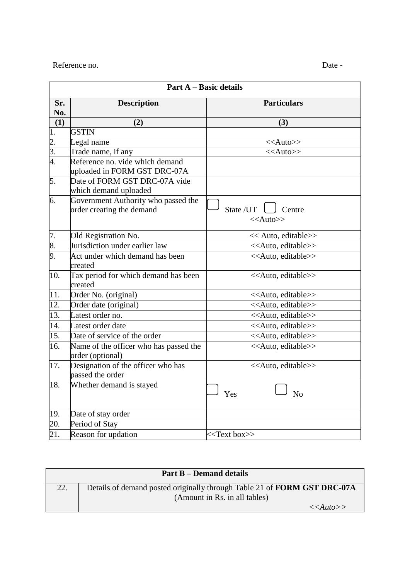#### Reference no. Date -

|     | <b>Part B – Demand details</b>                                           |
|-----|--------------------------------------------------------------------------|
| 22. | Details of demand posted originally through Table 21 of FORM GST DRC-07A |
|     | (Amount in Rs. in all tables)                                            |
|     | < <auto>&gt;</auto>                                                      |

21. Reason for updation  $\lt\lt$ Text box>>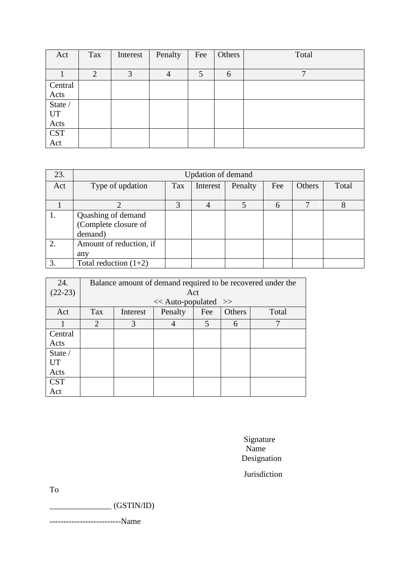| Act                  | Tax            | Interest | Penalty | Fee | Others | Total |
|----------------------|----------------|----------|---------|-----|--------|-------|
|                      |                |          |         |     |        |       |
|                      | $\overline{2}$ | 3        | 4       | 5   | 6      | ┓     |
| Central              |                |          |         |     |        |       |
| Acts                 |                |          |         |     |        |       |
| State /              |                |          |         |     |        |       |
| UT                   |                |          |         |     |        |       |
| Acts                 |                |          |         |     |        |       |
| $\operatorname{CST}$ |                |          |         |     |        |       |
| Act                  |                |          |         |     |        |       |

| 23. | <b>Updation of demand</b> |     |          |         |     |               |       |  |
|-----|---------------------------|-----|----------|---------|-----|---------------|-------|--|
| Act | Type of updation          | Tax | Interest | Penalty | Fee | <b>Others</b> | Total |  |
|     |                           |     |          |         |     |               |       |  |
|     |                           |     |          |         | 6   |               |       |  |
|     | Quashing of demand        |     |          |         |     |               |       |  |
|     | (Complete closure of      |     |          |         |     |               |       |  |
|     | demand)                   |     |          |         |     |               |       |  |
| 2.  | Amount of reduction, if   |     |          |         |     |               |       |  |
|     | any                       |     |          |         |     |               |       |  |
|     | Total reduction $(1+2)$   |     |          |         |     |               |       |  |

| 24.        | Balance amount of demand required to be recovered under the |          |         |     |        |              |  |  |
|------------|-------------------------------------------------------------|----------|---------|-----|--------|--------------|--|--|
| $(22-23)$  | Act                                                         |          |         |     |        |              |  |  |
|            | $<<$ Auto-populated $>>$                                    |          |         |     |        |              |  |  |
| Act        | Tax                                                         | Interest | Penalty | Fee | Others | Total        |  |  |
|            | $\mathcal{D}_{\mathcal{L}}$                                 | 3        | 4       | 5   | 6      | $\mathbf{7}$ |  |  |
| Central    |                                                             |          |         |     |        |              |  |  |
| Acts       |                                                             |          |         |     |        |              |  |  |
| State /    |                                                             |          |         |     |        |              |  |  |
| <b>UT</b>  |                                                             |          |         |     |        |              |  |  |
| Acts       |                                                             |          |         |     |        |              |  |  |
| <b>CST</b> |                                                             |          |         |     |        |              |  |  |
| Act        |                                                             |          |         |     |        |              |  |  |

 Signature Name Name Name Designation

Jurisdiction

To

\_\_\_\_\_\_\_\_\_\_\_\_\_\_\_ (GSTIN/ID)

--------------------------Name